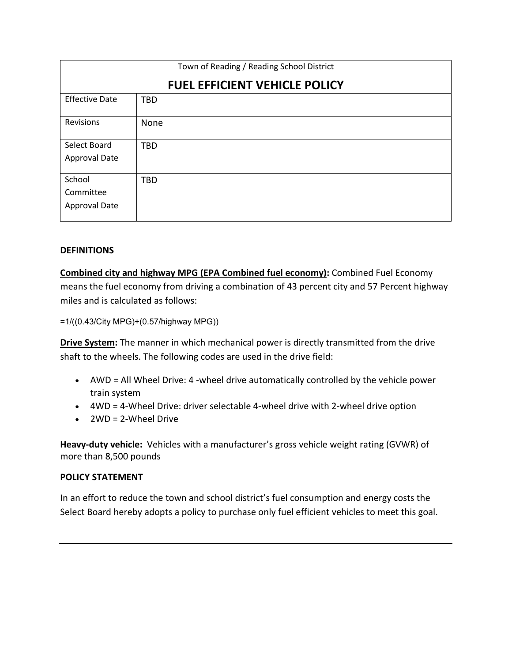| Town of Reading / Reading School District |            |
|-------------------------------------------|------------|
| <b>FUEL EFFICIENT VEHICLE POLICY</b>      |            |
| <b>Effective Date</b>                     | <b>TBD</b> |
| Revisions                                 | None       |
| Select Board                              | <b>TBD</b> |
| Approval Date                             |            |
| School                                    | <b>TBD</b> |
| Committee                                 |            |
| <b>Approval Date</b>                      |            |

# **DEFINITIONS**

**Combined city and highway MPG (EPA Combined fuel economy):** Combined Fuel Economy means the fuel economy from driving a combination of 43 percent city and 57 Percent highway miles and is calculated as follows:

=1/((0.43/City MPG)+(0.57/highway MPG))

**Drive System:** The manner in which mechanical power is directly transmitted from the drive shaft to the wheels. The following codes are used in the drive field:

- AWD = All Wheel Drive: 4 -wheel drive automatically controlled by the vehicle power train system
- 4WD = 4-Wheel Drive: driver selectable 4-wheel drive with 2-wheel drive option
- 2WD = 2-Wheel Drive

**Heavy-duty vehicle:** Vehicles with a manufacturer's gross vehicle weight rating (GVWR) of more than 8,500 pounds

# **POLICY STATEMENT**

In an effort to reduce the town and school district's fuel consumption and energy costs the Select Board hereby adopts a policy to purchase only fuel efficient vehicles to meet this goal.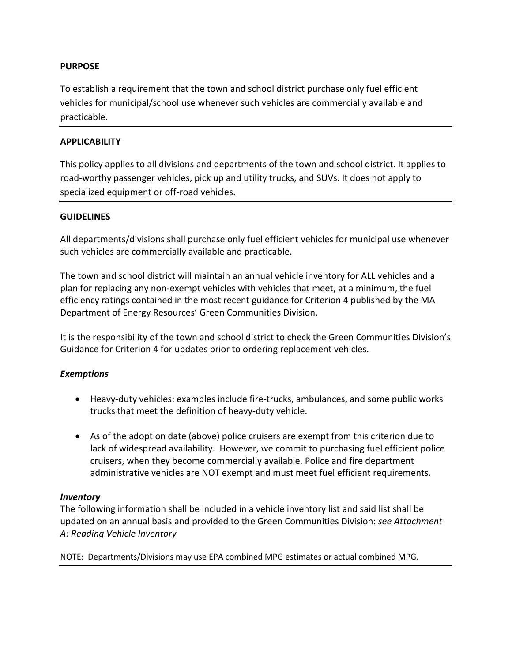# **PURPOSE**

To establish a requirement that the town and school district purchase only fuel efficient vehicles for municipal/school use whenever such vehicles are commercially available and practicable.

# **APPLICABILITY**

This policy applies to all divisions and departments of the town and school district. It applies to road-worthy passenger vehicles, pick up and utility trucks, and SUVs. It does not apply to specialized equipment or off-road vehicles.

## **GUIDELINES**

All departments/divisions shall purchase only fuel efficient vehicles for municipal use whenever such vehicles are commercially available and practicable.

The town and school district will maintain an annual vehicle inventory for ALL vehicles and a plan for replacing any non-exempt vehicles with vehicles that meet, at a minimum, the fuel efficiency ratings contained in the most recent guidance for Criterion 4 published by the MA Department of Energy Resources' Green Communities Division.

It is the responsibility of the town and school district to check the Green Communities Division's Guidance for Criterion 4 for updates prior to ordering replacement vehicles.

# *Exemptions*

- Heavy-duty vehicles: examples include fire-trucks, ambulances, and some public works trucks that meet the definition of heavy-duty vehicle.
- As of the adoption date (above) police cruisers are exempt from this criterion due to lack of widespread availability. However, we commit to purchasing fuel efficient police cruisers, when they become commercially available. Police and fire department administrative vehicles are NOT exempt and must meet fuel efficient requirements.

#### *Inventory*

The following information shall be included in a vehicle inventory list and said list shall be updated on an annual basis and provided to the Green Communities Division: *see Attachment A: Reading Vehicle Inventory*

NOTE: Departments/Divisions may use EPA combined MPG estimates or actual combined MPG.